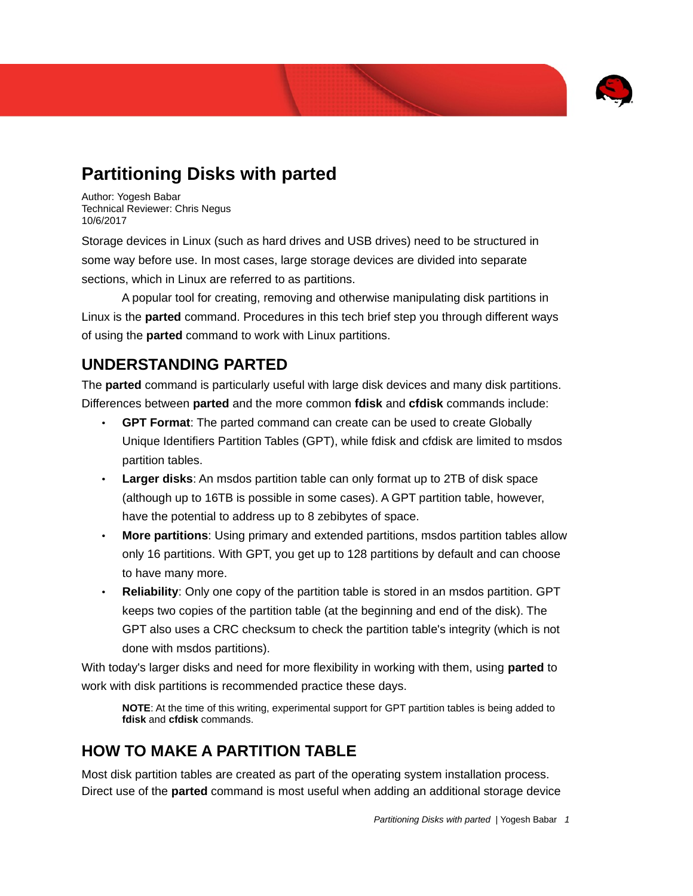

# **Partitioning Disks with parted**

Author: Yogesh Babar Technical Reviewer: Chris Negus 10/6/2017

Storage devices in Linux (such as hard drives and USB drives) need to be structured in some way before use. In most cases, large storage devices are divided into separate sections, which in Linux are referred to as partitions.

A popular tool for creating, removing and otherwise manipulating disk partitions in Linux is the **parted** command. Procedures in this tech brief step you through different ways of using the **parted** command to work with Linux partitions.

### **UNDERSTANDING PARTED**

The **parted** command is particularly useful with large disk devices and many disk partitions. Differences between **parted** and the more common **fdisk** and **cfdisk** commands include:

- **GPT Format**: The parted command can create can be used to create Globally Unique Identifiers Partition Tables (GPT), while fdisk and cfdisk are limited to msdos partition tables.
- **Larger disks**: An msdos partition table can only format up to 2TB of disk space (although up to 16TB is possible in some cases). A GPT partition table, however, have the potential to address up to 8 zebibytes of space.
- **More partitions**: Using primary and extended partitions, msdos partition tables allow only 16 partitions. With GPT, you get up to 128 partitions by default and can choose to have many more.
- **Reliability**: Only one copy of the partition table is stored in an msdos partition. GPT keeps two copies of the partition table (at the beginning and end of the disk). The GPT also uses a CRC checksum to check the partition table's integrity (which is not done with msdos partitions).

With today's larger disks and need for more flexibility in working with them, using **parted** to work with disk partitions is recommended practice these days.

**NOTE**: At the time of this writing, experimental support for GPT partition tables is being added to **fdisk** and **cfdisk** commands.

## **HOW TO MAKE A PARTITION TABLE**

Most disk partition tables are created as part of the operating system installation process. Direct use of the **parted** command is most useful when adding an additional storage device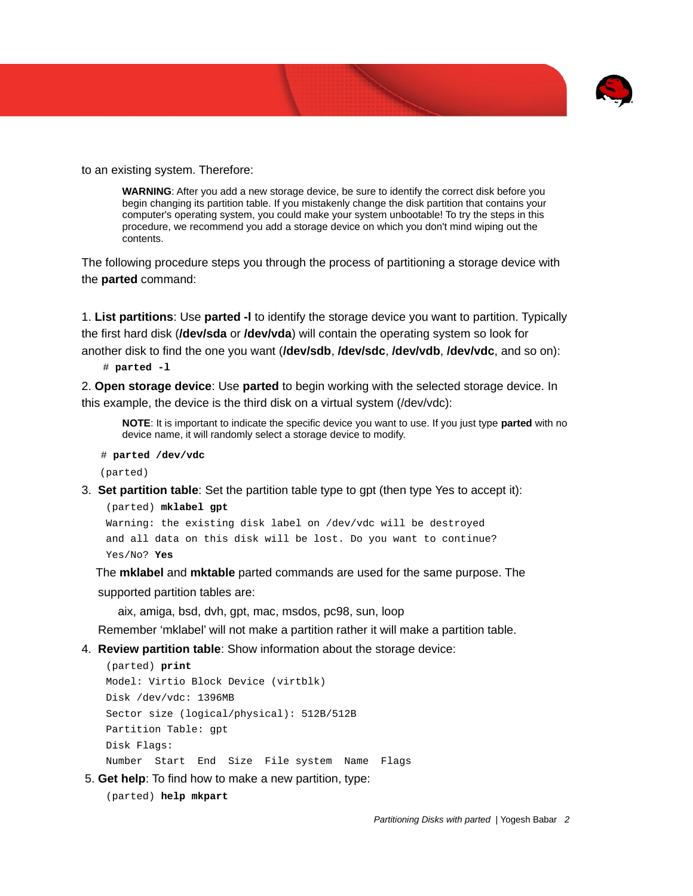

to an existing system. Therefore:

**WARNING**: After you add a new storage device, be sure to identify the correct disk before you begin changing its partition table. If you mistakenly change the disk partition that contains your computer's operating system, you could make your system unbootable! To try the steps in this procedure, we recommend you add a storage device on which you don't mind wiping out the contents.

The following procedure steps you through the process of partitioning a storage device with the **parted** command:

1. **List partitions**: Use **parted -l** to identify the storage device you want to partition. Typically the first hard disk (**/dev/sda** or **/dev/vda**) will contain the operating system so look for another disk to find the one you want (**/dev/sdb**, **/dev/sdc**, **/dev/vdb**, **/dev/vdc**, and so on):

# **parted -l**

2. **Open storage device**: Use **parted** to begin working with the selected storage device. In this example, the device is the third disk on a virtual system (/dev/vdc):

**NOTE**: It is important to indicate the specific device you want to use. If you just type **parted** with no device name, it will randomly select a storage device to modify.

```
 # parted /dev/vdc
```
(parted)

3. **Set partition table**: Set the partition table type to gpt (then type Yes to accept it):

```
 (parted) mklabel gpt
```

```
 Warning: the existing disk label on /dev/vdc will be destroyed
 and all data on this disk will be lost. Do you want to continue?
 Yes/No? Yes
```
 The **mklabel** and **mktable** parted commands are used for the same purpose. The supported partition tables are:

aix, amiga, bsd, dvh, gpt, mac, msdos, pc98, sun, loop

Remember 'mklabel' will not make a partition rather it will make a partition table.

4. **Review partition table**: Show information about the storage device:

```
 (parted) print
 Model: Virtio Block Device (virtblk)
 Disk /dev/vdc: 1396MB
 Sector size (logical/physical): 512B/512B
 Partition Table: gpt
 Disk Flags:
 Number Start End Size File system Name Flags
```
5. **Get help**: To find how to make a new partition, type:

(parted) **help mkpart**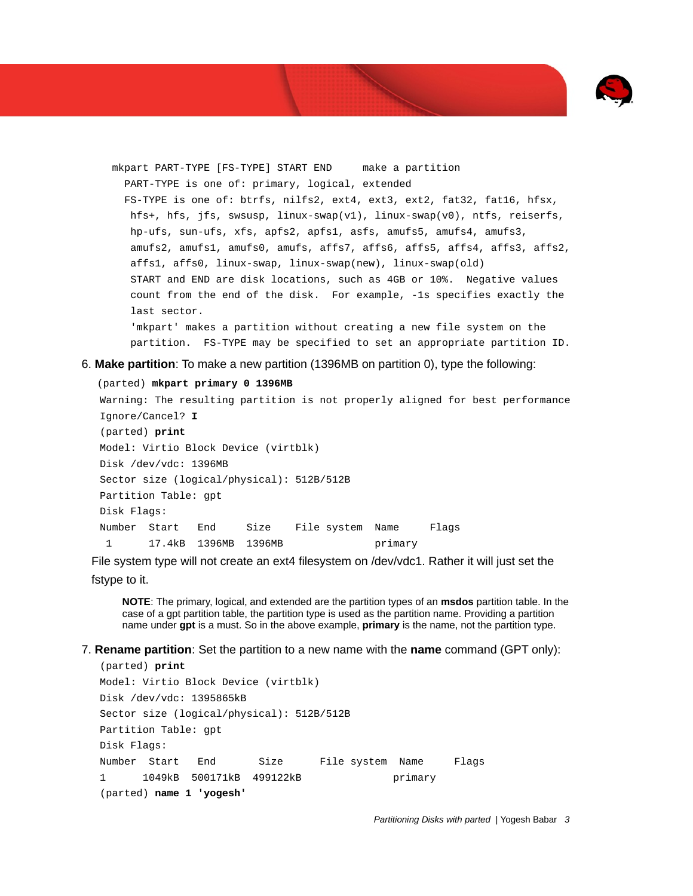

 mkpart PART-TYPE [FS-TYPE] START END make a partition PART-TYPE is one of: primary, logical, extended FS-TYPE is one of: btrfs, nilfs2, ext4, ext3, ext2, fat32, fat16, hfsx, hfs+, hfs, jfs, swsusp, linux-swap(v1), linux-swap(v0), ntfs, reiserfs, hp-ufs, sun-ufs, xfs, apfs2, apfs1, asfs, amufs5, amufs4, amufs3, amufs2, amufs1, amufs0, amufs, affs7, affs6, affs5, affs4, affs3, affs2, affs1, affs0, linux-swap, linux-swap(new), linux-swap(old) START and END are disk locations, such as 4GB or 10%. Negative values count from the end of the disk. For example, -1s specifies exactly the last sector. 'mkpart' makes a partition without creating a new file system on the partition. FS-TYPE may be specified to set an appropriate partition ID.

6. **Make partition**: To make a new partition (1396MB on partition 0), type the following:

```
 (parted) mkpart primary 0 1396MB
```

```
 Warning: The resulting partition is not properly aligned for best performance
 Ignore/Cancel? I
 (parted) print
 Model: Virtio Block Device (virtblk)
 Disk /dev/vdc: 1396MB
 Sector size (logical/physical): 512B/512B
 Partition Table: gpt
 Disk Flags:
 Number Start End Size File system Name Flags
 1 17.4kB 1396MB 1396MB primary
```
File system type will not create an ext4 filesystem on /dev/vdc1. Rather it will just set the fstype to it.

**NOTE**: The primary, logical, and extended are the partition types of an **msdos** partition table. In the case of a gpt partition table, the partition type is used as the partition name. Providing a partition name under **gpt** is a must. So in the above example, **primary** is the name, not the partition type.

7. **Rename partition**: Set the partition to a new name with the **name** command (GPT only):

```
 (parted) print
 Model: Virtio Block Device (virtblk)
 Disk /dev/vdc: 1395865kB
 Sector size (logical/physical): 512B/512B
 Partition Table: gpt
 Disk Flags: 
 Number Start End Size File system Name Flags
 1 1049kB 500171kB 499122kB primary
 (parted) name 1 'yogesh'
```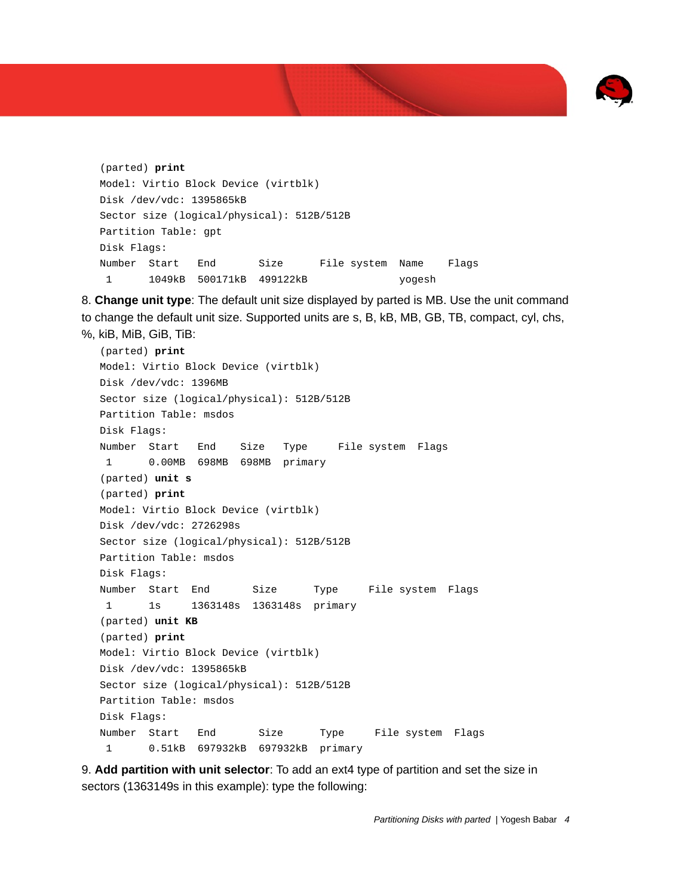

```
 (parted) print
 Model: Virtio Block Device (virtblk)
 Disk /dev/vdc: 1395865kB
 Sector size (logical/physical): 512B/512B
 Partition Table: gpt
 Disk Flags: 
 Number Start End Size File system Name Flags
 1 1049kB 500171kB 499122kB yogesh
```
8. **Change unit type**: The default unit size displayed by parted is MB. Use the unit command to change the default unit size. Supported units are s, B, kB, MB, GB, TB, compact, cyl, chs, %, kiB, MiB, GiB, TiB:

 (parted) **print** Model: Virtio Block Device (virtblk) Disk /dev/vdc: 1396MB Sector size (logical/physical): 512B/512B Partition Table: msdos Disk Flags: Number Start End Size Type File system Flags 1 0.00MB 698MB 698MB primary (parted) **unit s** (parted) **print** Model: Virtio Block Device (virtblk) Disk /dev/vdc: 2726298s Sector size (logical/physical): 512B/512B Partition Table: msdos Disk Flags: Number Start End Size Type File system Flags 1 1s 1363148s 1363148s primary (parted) **unit KB** (parted) **print** Model: Virtio Block Device (virtblk) Disk /dev/vdc: 1395865kB Sector size (logical/physical): 512B/512B Partition Table: msdos Disk Flags: Number Start End Size Type File system Flags 1 0.51kB 697932kB 697932kB primary

9. **Add partition with unit selector**: To add an ext4 type of partition and set the size in sectors (1363149s in this example): type the following: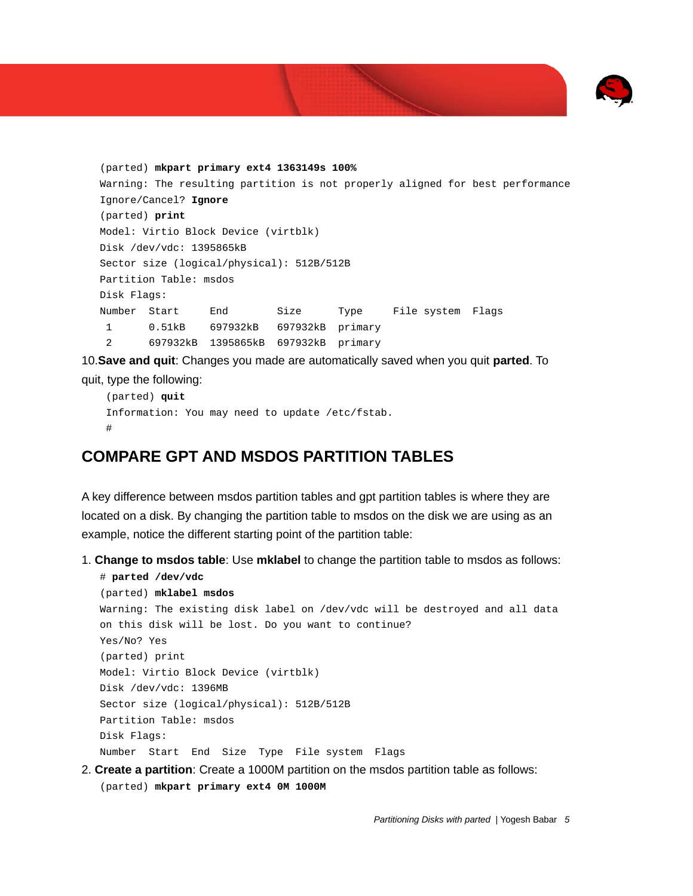

```
 (parted) mkpart primary ext4 1363149s 100% 
 Warning: The resulting partition is not properly aligned for best performance
 Ignore/Cancel? Ignore
 (parted) print
 Model: Virtio Block Device (virtblk)
 Disk /dev/vdc: 1395865kB
 Sector size (logical/physical): 512B/512B
 Partition Table: msdos
 Disk Flags: 
 Number Start End Size Type File system Flags
 1 0.51kB 697932kB 697932kB primary
 2 697932kB 1395865kB 697932kB primary
```
10.**Save and quit**: Changes you made are automatically saved when you quit **parted**. To

quit, type the following:

```
 (parted) quit
 Information: You may need to update /etc/fstab.
 #
```
## **COMPARE GPT AND MSDOS PARTITION TABLES**

A key difference between msdos partition tables and gpt partition tables is where they are located on a disk. By changing the partition table to msdos on the disk we are using as an example, notice the different starting point of the partition table:

1. **Change to msdos table**: Use **mklabel** to change the partition table to msdos as follows:

```
 # parted /dev/vdc
 (parted) mklabel msdos
 Warning: The existing disk label on /dev/vdc will be destroyed and all data 
 on this disk will be lost. Do you want to continue?
 Yes/No? Yes
 (parted) print
 Model: Virtio Block Device (virtblk)
 Disk /dev/vdc: 1396MB
 Sector size (logical/physical): 512B/512B
 Partition Table: msdos
 Disk Flags:
 Number Start End Size Type File system Flags
```
2. **Create a partition**: Create a 1000M partition on the msdos partition table as follows: (parted) **mkpart primary ext4 0M 1000M**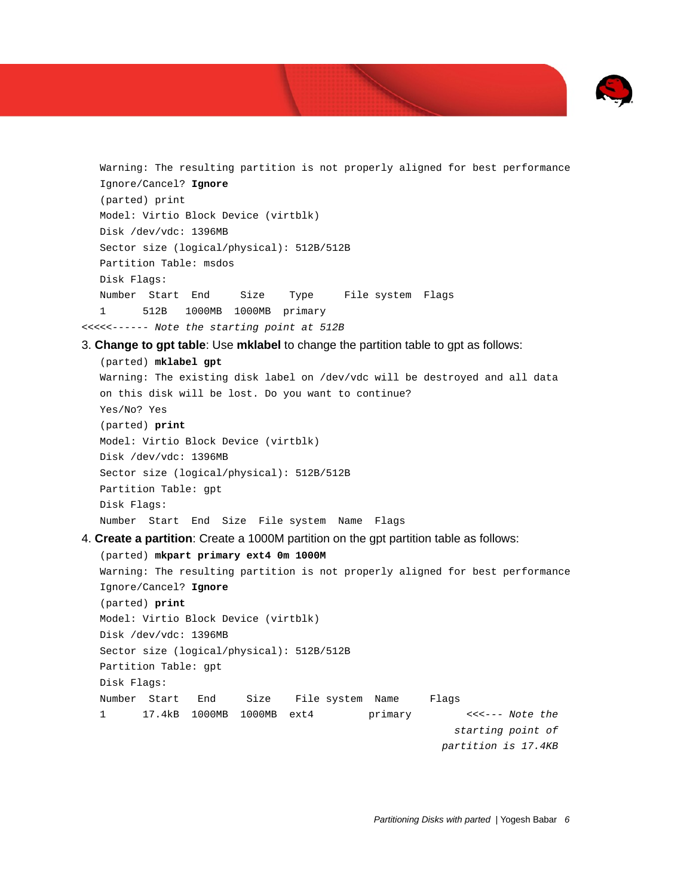

 Warning: The resulting partition is not properly aligned for best performance Ignore/Cancel? **Ignore** (parted) print Model: Virtio Block Device (virtblk) Disk /dev/vdc: 1396MB Sector size (logical/physical): 512B/512B Partition Table: msdos Disk Flags: Number Start End Size Type File system Flags 1 512B 1000MB 1000MB primary *<<<<<------ Note the starting point at 512B* 3. **Change to gpt table**: Use **mklabel** to change the partition table to gpt as follows: (parted) **mklabel gpt** Warning: The existing disk label on /dev/vdc will be destroyed and all data on this disk will be lost. Do you want to continue? Yes/No? Yes (parted) **print** Model: Virtio Block Device (virtblk) Disk /dev/vdc: 1396MB Sector size (logical/physical): 512B/512B Partition Table: gpt Disk Flags: Number Start End Size File system Name Flags 4. **Create a partition**: Create a 1000M partition on the gpt partition table as follows: (parted) **mkpart primary ext4 0m 1000M** Warning: The resulting partition is not properly aligned for best performance Ignore/Cancel? **Ignore** (parted) **print** Model: Virtio Block Device (virtblk) Disk /dev/vdc: 1396MB Sector size (logical/physical): 512B/512B Partition Table: gpt Disk Flags: Number Start End Size File system Name Flags 1 17.4kB 1000MB 1000MB ext4 primary *<<<--- Note the starting point of partition is 17.4KB*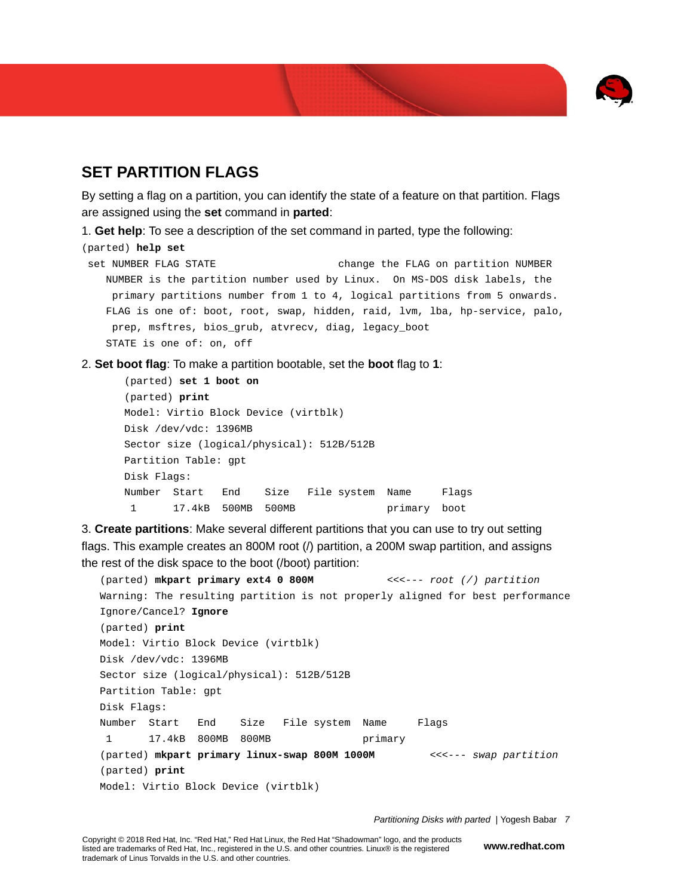

## **SET PARTITION FLAGS**

By setting a flag on a partition, you can identify the state of a feature on that partition. Flags are assigned using the **set** command in **parted**:

1. **Get help**: To see a description of the set command in parted, type the following:

```
(parted) help set
```

```
set NUMBER FLAG STATE change the FLAG on partition NUMBER
   NUMBER is the partition number used by Linux. On MS-DOS disk labels, the 
    primary partitions number from 1 to 4, logical partitions from 5 onwards.
   FLAG is one of: boot, root, swap, hidden, raid, lvm, lba, hp-service, palo, 
    prep, msftres, bios_grub, atvrecv, diag, legacy_boot
   STATE is one of: on, off
```
2. **Set boot flag**: To make a partition bootable, set the **boot** flag to **1**:

```
 (parted) set 1 boot on
 (parted) print
 Model: Virtio Block Device (virtblk)
 Disk /dev/vdc: 1396MB
 Sector size (logical/physical): 512B/512B
 Partition Table: gpt
 Disk Flags:
 Number Start End Size File system Name Flags
  1 17.4kB 500MB 500MB primary boot
```
3. **Create partitions**: Make several different partitions that you can use to try out setting flags. This example creates an 800M root (/) partition, a 200M swap partition, and assigns the rest of the disk space to the boot (/boot) partition:

```
 (parted) mkpart primary ext4 0 800M <<<--- root (/) partition
 Warning: The resulting partition is not properly aligned for best performance
 Ignore/Cancel? Ignore
 (parted) print
 Model: Virtio Block Device (virtblk)
 Disk /dev/vdc: 1396MB
 Sector size (logical/physical): 512B/512B
 Partition Table: gpt
 Disk Flags:
 Number Start End Size File system Name Flags
 1 17.4kB 800MB 800MB primary
 (parted) mkpart primary linux-swap 800M 1000M <<<--- swap partition
 (parted) print
 Model: Virtio Block Device (virtblk)
```
*Partitioning Disks with parted |* Yogesh Babar *7*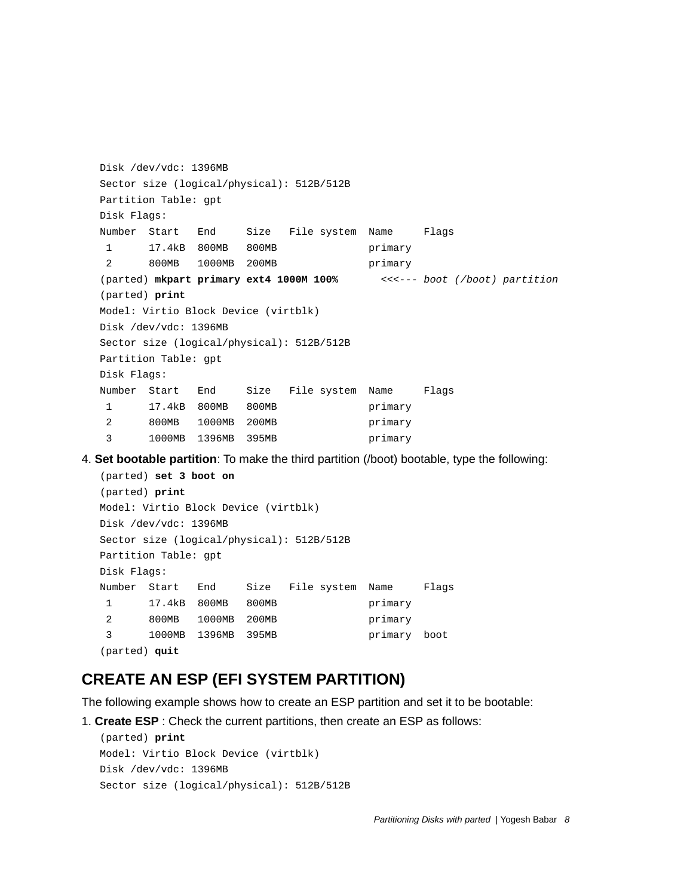```
 Disk /dev/vdc: 1396MB
   Sector size (logical/physical): 512B/512B
   Partition Table: gpt
   Disk Flags:
   Number Start End Size File system Name Flags
    1 17.4kB 800MB 800MB primary
    2 800MB 1000MB 200MB primary
   (parted) mkpart primary ext4 1000M 100% <<<--- boot (/boot) partition
   (parted) print
   Model: Virtio Block Device (virtblk)
   Disk /dev/vdc: 1396MB
   Sector size (logical/physical): 512B/512B
   Partition Table: gpt
   Disk Flags:
   Number Start End Size File system Name Flags
    1 17.4kB 800MB 800MB primary
    2 800MB 1000MB 200MB primary
    3 1000MB 1396MB 395MB primary
4. Set bootable partition: To make the third partition (/boot) bootable, type the following:
   (parted) set 3 boot on
   (parted) print
   Model: Virtio Block Device (virtblk)
   Disk /dev/vdc: 1396MB
   Sector size (logical/physical): 512B/512B
   Partition Table: gpt
   Disk Flags:
```

```
 Number Start End Size File system Name Flags
 1 17.4kB 800MB 800MB primary
 2 800MB 1000MB 200MB primary
 3 1000MB 1396MB 395MB primary boot
 (parted) quit
```
#### **CREATE AN ESP (EFI SYSTEM PARTITION)**

The following example shows how to create an ESP partition and set it to be bootable:

```
1. Create ESP : Check the current partitions, then create an ESP as follows:
```

```
 (parted) print
 Model: Virtio Block Device (virtblk)
 Disk /dev/vdc: 1396MB
 Sector size (logical/physical): 512B/512B
```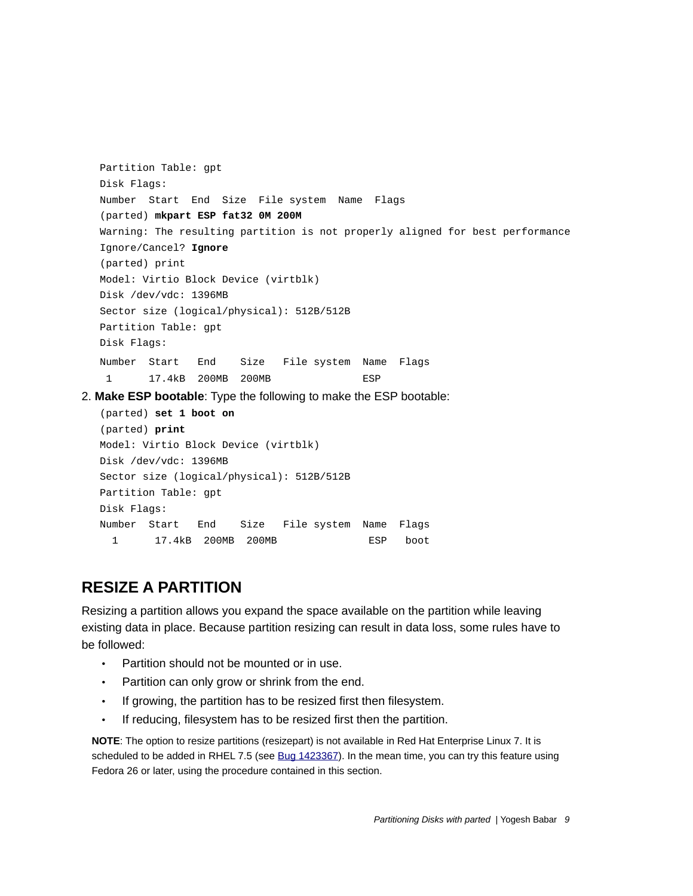```
 Partition Table: gpt
    Disk Flags:
    Number Start End Size File system Name Flags
    (parted) mkpart ESP fat32 0M 200M
    Warning: The resulting partition is not properly aligned for best performance
    Ignore/Cancel? Ignore
    (parted) print
    Model: Virtio Block Device (virtblk)
    Disk /dev/vdc: 1396MB
    Sector size (logical/physical): 512B/512B
    Partition Table: gpt
    Disk Flags:
    Number Start End Size File system Name Flags
    1 17.4kB 200MB 200MB ESP
2. Make ESP bootable: Type the following to make the ESP bootable:
    (parted) set 1 boot on
    (parted) print
    Model: Virtio Block Device (virtblk)
    Disk /dev/vdc: 1396MB
    Sector size (logical/physical): 512B/512B
    Partition Table: gpt
    Disk Flags:
    Number Start End Size File system Name Flags
```
#### **RESIZE A PARTITION**

Resizing a partition allows you expand the space available on the partition while leaving existing data in place. Because partition resizing can result in data loss, some rules have to be followed:

- Partition should not be mounted or in use.
- Partition can only grow or shrink from the end.
- If growing, the partition has to be resized first then filesystem.

1 17.4kB 200MB 200MB ESP boot

• If reducing, filesystem has to be resized first then the partition.

**NOTE**: The option to resize partitions (resizepart) is not available in Red Hat Enterprise Linux 7. It is scheduled to be added in RHEL 7.5 (see [Bug 1423367\)](https://bugzilla.redhat.com/show_bug.cgi?id=1423357). In the mean time, you can try this feature using Fedora 26 or later, using the procedure contained in this section.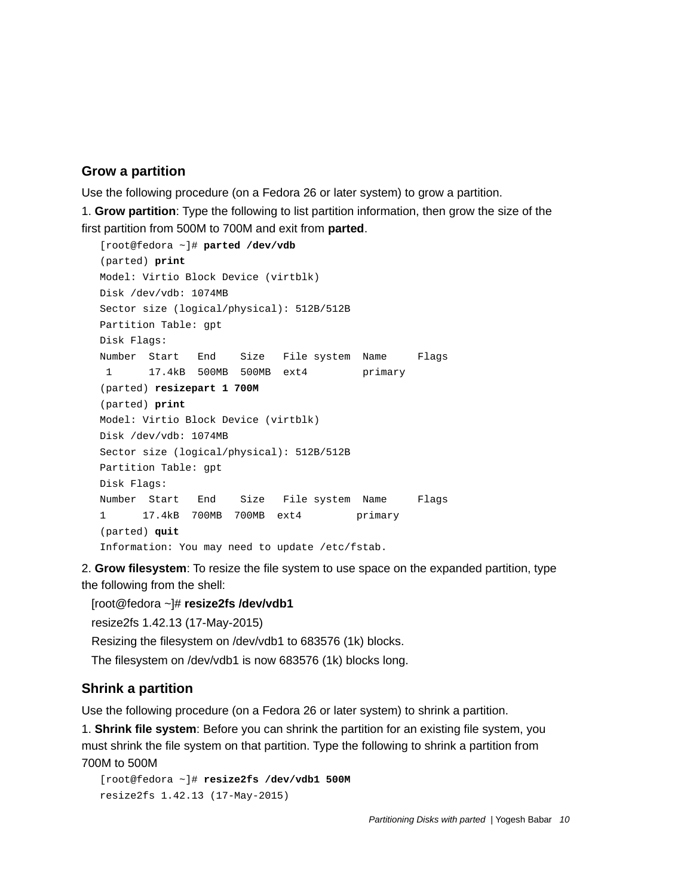#### **Grow a partition**

Use the following procedure (on a Fedora 26 or later system) to grow a partition.

1. **Grow partition**: Type the following to list partition information, then grow the size of the first partition from 500M to 700M and exit from **parted**.

```
 [root@fedora ~]# parted /dev/vdb
 (parted) print
 Model: Virtio Block Device (virtblk)
 Disk /dev/vdb: 1074MB
 Sector size (logical/physical): 512B/512B
 Partition Table: gpt
 Disk Flags:
 Number Start End Size File system Name Flags
 1 17.4kB 500MB 500MB ext4 primary
 (parted) resizepart 1 700M
 (parted) print
 Model: Virtio Block Device (virtblk)
 Disk /dev/vdb: 1074MB
 Sector size (logical/physical): 512B/512B
 Partition Table: gpt
 Disk Flags:
 Number Start End Size File system Name Flags
 1 17.4kB 700MB 700MB ext4 primary
 (parted) quit
 Information: You may need to update /etc/fstab.
```
2. **Grow filesystem**: To resize the file system to use space on the expanded partition, type the following from the shell:

 [root@fedora ~]# **resize2fs /dev/vdb1** resize2fs 1.42.13 (17-May-2015) Resizing the filesystem on /dev/vdb1 to 683576 (1k) blocks. The filesystem on /dev/vdb1 is now 683576 (1k) blocks long.

#### **Shrink a partition**

Use the following procedure (on a Fedora 26 or later system) to shrink a partition.

1. **Shrink file system**: Before you can shrink the partition for an existing file system, you must shrink the file system on that partition. Type the following to shrink a partition from 700M to 500M

```
 [root@fedora ~]# resize2fs /dev/vdb1 500M
 resize2fs 1.42.13 (17-May-2015)
```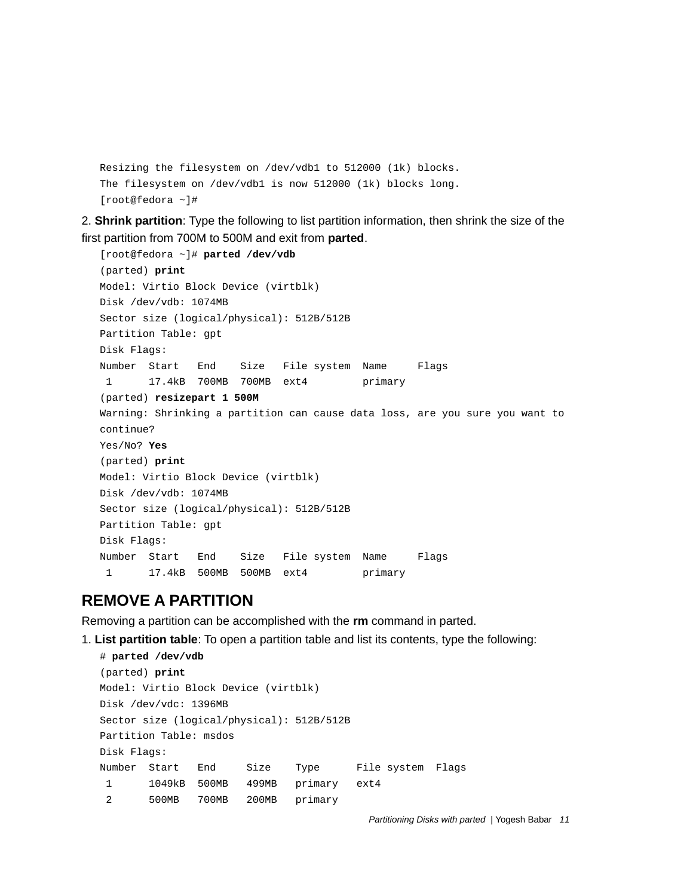```
 Resizing the filesystem on /dev/vdb1 to 512000 (1k) blocks.
 The filesystem on /dev/vdb1 is now 512000 (1k) blocks long.
 [root@fedora ~]#
```
2. **Shrink partition**: Type the following to list partition information, then shrink the size of the first partition from 700M to 500M and exit from **parted**.

```
 [root@fedora ~]# parted /dev/vdb
 (parted) print
 Model: Virtio Block Device (virtblk)
 Disk /dev/vdb: 1074MB
 Sector size (logical/physical): 512B/512B
 Partition Table: gpt
 Disk Flags:
 Number Start End Size File system Name Flags
 1 17.4kB 700MB 700MB ext4 primary
 (parted) resizepart 1 500M
 Warning: Shrinking a partition can cause data loss, are you sure you want to 
 continue?
 Yes/No? Yes
 (parted) print
 Model: Virtio Block Device (virtblk)
 Disk /dev/vdb: 1074MB
 Sector size (logical/physical): 512B/512B
 Partition Table: gpt
 Disk Flags:
 Number Start End Size File system Name Flags
 1 17.4kB 500MB 500MB ext4 primary
```
#### **REMOVE A PARTITION**

Removing a partition can be accomplished with the **rm** command in parted.

1. **List partition table**: To open a partition table and list its contents, type the following:

```
 # parted /dev/vdb
 (parted) print
 Model: Virtio Block Device (virtblk)
 Disk /dev/vdc: 1396MB
 Sector size (logical/physical): 512B/512B
 Partition Table: msdos
 Disk Flags: 
 Number Start End Size Type File system Flags
 1 1049kB 500MB 499MB primary ext4
 2 500MB 700MB 200MB primary
```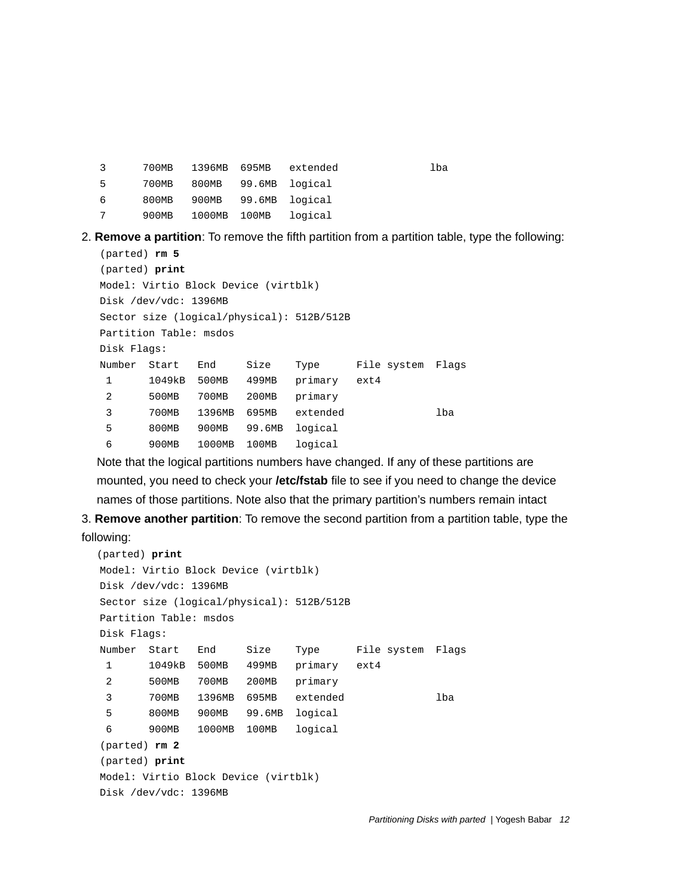| 3 | 700MB | 1396MB       | 695MB | extended       | lba |
|---|-------|--------------|-------|----------------|-----|
| 5 | 700MB | 800MB        |       | 99.6MB logical |     |
| 6 | 800MB | 900MB        |       | 99.6MB logical |     |
|   | 900MB | 1000MB 100MB |       | loqical        |     |

2. **Remove a partition**: To remove the fifth partition from a partition table, type the following:

```
 (parted) rm 5 
 (parted) print
 Model: Virtio Block Device (virtblk)
 Disk /dev/vdc: 1396MB
 Sector size (logical/physical): 512B/512B
 Partition Table: msdos
 Disk Flags: 
 Number Start End Size Type File system Flags
 1 1049kB 500MB 499MB primary ext4
 2 500MB 700MB 200MB primary
 3 700MB 1396MB 695MB extended lba
 5 800MB 900MB 99.6MB logical
 6 900MB 1000MB 100MB logical
```
Note that the logical partitions numbers have changed. If any of these partitions are mounted, you need to check your **/etc/fstab** file to see if you need to change the device names of those partitions. Note also that the primary partition's numbers remain intact

3. **Remove another partition**: To remove the second partition from a partition table, type the

#### following:

```
(parted) print
 Model: Virtio Block Device (virtblk)
 Disk /dev/vdc: 1396MB
 Sector size (logical/physical): 512B/512B
 Partition Table: msdos
 Disk Flags: 
 Number Start End Size Type File system Flags
  1 1049kB 500MB 499MB primary ext4
  2 500MB 700MB 200MB primary
  3 700MB 1396MB 695MB extended lba
  5 800MB 900MB 99.6MB logical
  6 900MB 1000MB 100MB logical
 (parted) rm 2 
 (parted) print
 Model: Virtio Block Device (virtblk)
 Disk /dev/vdc: 1396MB
```